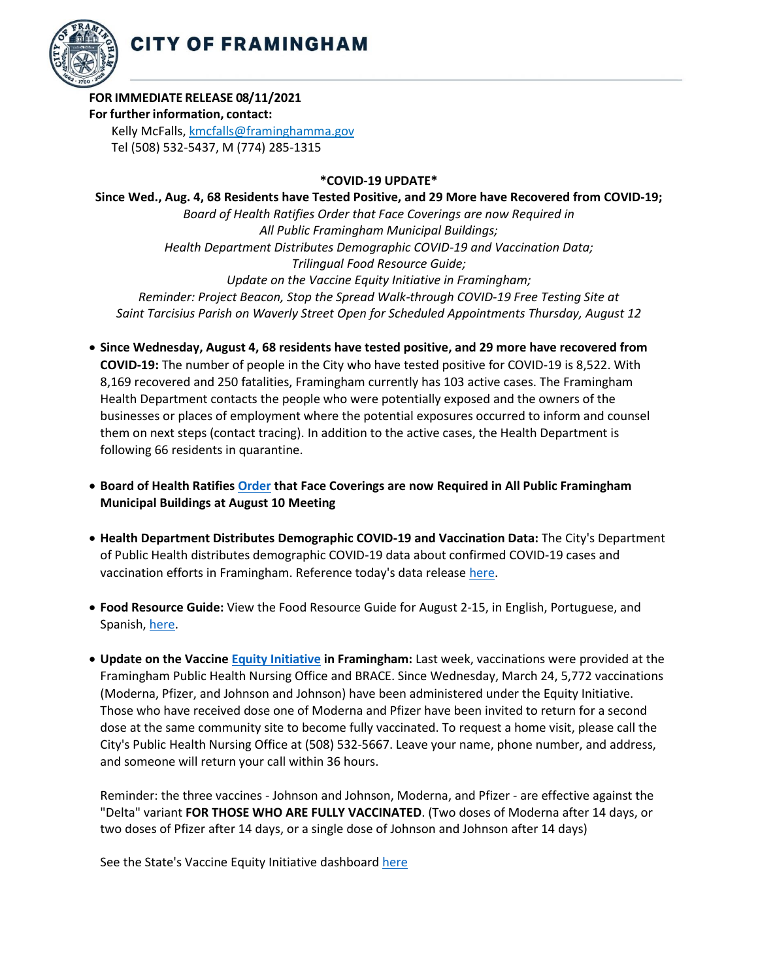

## **FOR IMMEDIATE RELEASE 08/11/2021**

## **For further information, contact:**

Kelly McFalls[, kmcfalls@framinghamma.gov](mailto:kmcfalls@framinghamma.gov) Tel (508) 532-5437, M (774) 285-1315

## **\*COVID-19 UPDATE\***

**Since Wed., Aug. 4, 68 Residents have Tested Positive, and 29 More have Recovered from COVID-19;** *Board of Health Ratifies Order that Face Coverings are now Required in All Public Framingham Municipal Buildings; Health Department Distributes Demographic COVID-19 and Vaccination Data; Trilingual Food Resource Guide; Update on the Vaccine Equity Initiative in Framingham; Reminder: Project Beacon, Stop the Spread Walk-through COVID-19 Free Testing Site at Saint Tarcisius Parish on Waverly Street Open for Scheduled Appointments Thursday, August 12*

- **Since Wednesday, August 4, 68 residents have tested positive, and 29 more have recovered from COVID-19:** The number of people in the City who have tested positive for COVID-19 is 8,522. With 8,169 recovered and 250 fatalities, Framingham currently has 103 active cases. The Framingham Health Department contacts the people who were potentially exposed and the owners of the businesses or places of employment where the potential exposures occurred to inform and counsel them on next steps (contact tracing). In addition to the active cases, the Health Department is following 66 residents in quarantine.
- **Board of Health Ratifies [Order](https://www.framinghamma.gov/CivicAlerts.aspx?AID=2472) that Face Coverings are now Required in All Public Framingham Municipal Buildings at August 10 Meeting**
- **Health Department Distributes Demographic COVID-19 and Vaccination Data:** The City's Department of Public Health distributes demographic COVID-19 data about confirmed COVID-19 cases and vaccination efforts in Framingham. Reference today's data release [here](https://www.framinghamma.gov/DocumentCenter/View/42895/COVID-19-Data-081121-FINAL)[.](https://www.framinghamma.gov/DocumentCenter/View/42366/COVID-19-Data-060921-FINAL)
- **Food Resource Guide:** View the Food Resource Guide for August 2-15, in English, Portuguese, and Spanish[, here](https://www.framinghamma.gov/DocumentCenter/View/42464/Food-Information-PDF-ESP)[.](https://www.framinghamma.gov/3023/Access-Food)
- **Update on the Vaccine Equity [Initiative](https://www.framinghamma.gov/3214/COVID-19-Vaccine-Information) in Framingham:** Last week, vaccinations were provided at the Framingham Public Health Nursing Office and BRACE. Since Wednesday, March 24, 5,772 vaccinations (Moderna, Pfizer, and Johnson and Johnson) have been administered under the Equity Initiative. Those who have received dose one of Moderna and Pfizer have been invited to return for a second dose at the same community site to become fully vaccinated. To request a home visit, please call the City's Public Health Nursing Office at (508) 532-5667. Leave your name, phone number, and address, and someone will return your call within 36 hours.

Reminder: the three vaccines - Johnson and Johnson, Moderna, and Pfizer - are effective against the "Delta" variant **FOR THOSE WHO ARE FULLY VACCINATED**. (Two doses of Moderna after 14 days, or two doses of Pfizer after 14 days, or a single dose of Johnson and Johnson after 14 days)

See the State's Vaccine Equity Initiative dashboar[d here](https://www.mass.gov/info-details/covid-19-vaccine-equity-initiative-community-specific-vaccination-data#covid-19-vaccine-equity-initiative-data-dashboard-)